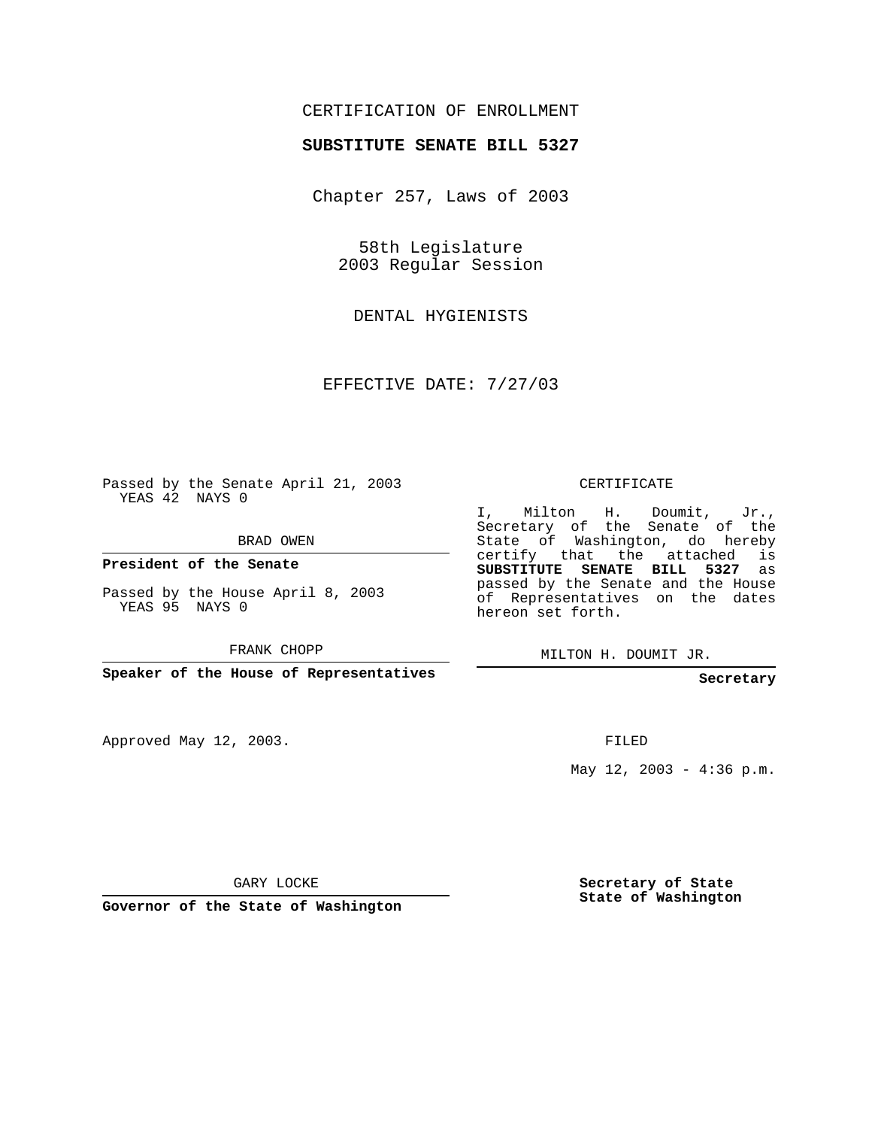## CERTIFICATION OF ENROLLMENT

## **SUBSTITUTE SENATE BILL 5327**

Chapter 257, Laws of 2003

58th Legislature 2003 Regular Session

DENTAL HYGIENISTS

EFFECTIVE DATE: 7/27/03

Passed by the Senate April 21, 2003 YEAS 42 NAYS 0

BRAD OWEN

**President of the Senate**

Passed by the House April 8, 2003 YEAS 95 NAYS 0

FRANK CHOPP

**Speaker of the House of Representatives**

Approved May 12, 2003.

CERTIFICATE

I, Milton H. Doumit, Jr., Secretary of the Senate of the State of Washington, do hereby certify that the attached is **SUBSTITUTE SENATE BILL 5327** as passed by the Senate and the House of Representatives on the dates hereon set forth.

MILTON H. DOUMIT JR.

**Secretary**

FILED

May  $12$ ,  $2003 - 4:36$  p.m.

GARY LOCKE

**Governor of the State of Washington**

**Secretary of State State of Washington**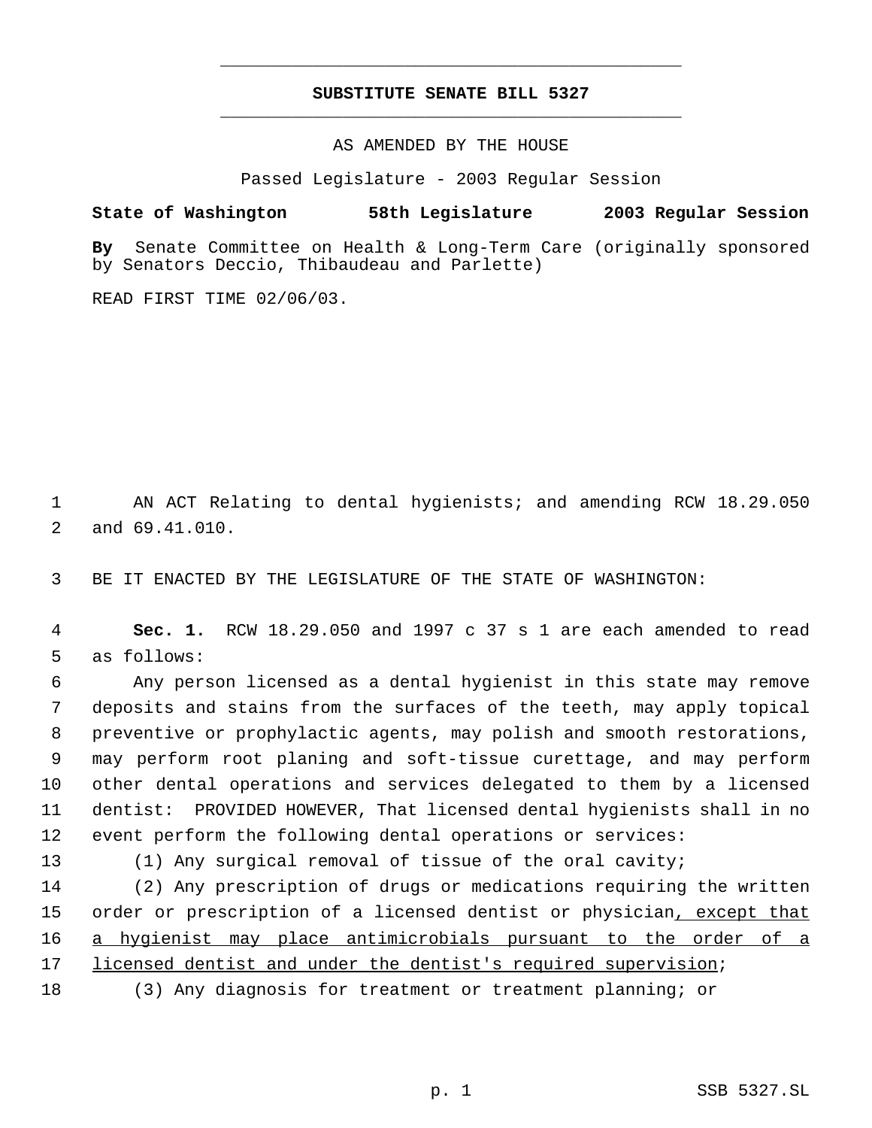## **SUBSTITUTE SENATE BILL 5327** \_\_\_\_\_\_\_\_\_\_\_\_\_\_\_\_\_\_\_\_\_\_\_\_\_\_\_\_\_\_\_\_\_\_\_\_\_\_\_\_\_\_\_\_\_

\_\_\_\_\_\_\_\_\_\_\_\_\_\_\_\_\_\_\_\_\_\_\_\_\_\_\_\_\_\_\_\_\_\_\_\_\_\_\_\_\_\_\_\_\_

AS AMENDED BY THE HOUSE

Passed Legislature - 2003 Regular Session

## **State of Washington 58th Legislature 2003 Regular Session**

**By** Senate Committee on Health & Long-Term Care (originally sponsored by Senators Deccio, Thibaudeau and Parlette)

READ FIRST TIME 02/06/03.

 AN ACT Relating to dental hygienists; and amending RCW 18.29.050 and 69.41.010.

BE IT ENACTED BY THE LEGISLATURE OF THE STATE OF WASHINGTON:

 **Sec. 1.** RCW 18.29.050 and 1997 c 37 s 1 are each amended to read as follows:

 Any person licensed as a dental hygienist in this state may remove deposits and stains from the surfaces of the teeth, may apply topical preventive or prophylactic agents, may polish and smooth restorations, may perform root planing and soft-tissue curettage, and may perform other dental operations and services delegated to them by a licensed dentist: PROVIDED HOWEVER, That licensed dental hygienists shall in no event perform the following dental operations or services:

(1) Any surgical removal of tissue of the oral cavity;

 (2) Any prescription of drugs or medications requiring the written 15 order or prescription of a licensed dentist or physician<u>, except that</u> a hygienist may place antimicrobials pursuant to the order of a licensed dentist and under the dentist's required supervision;

(3) Any diagnosis for treatment or treatment planning; or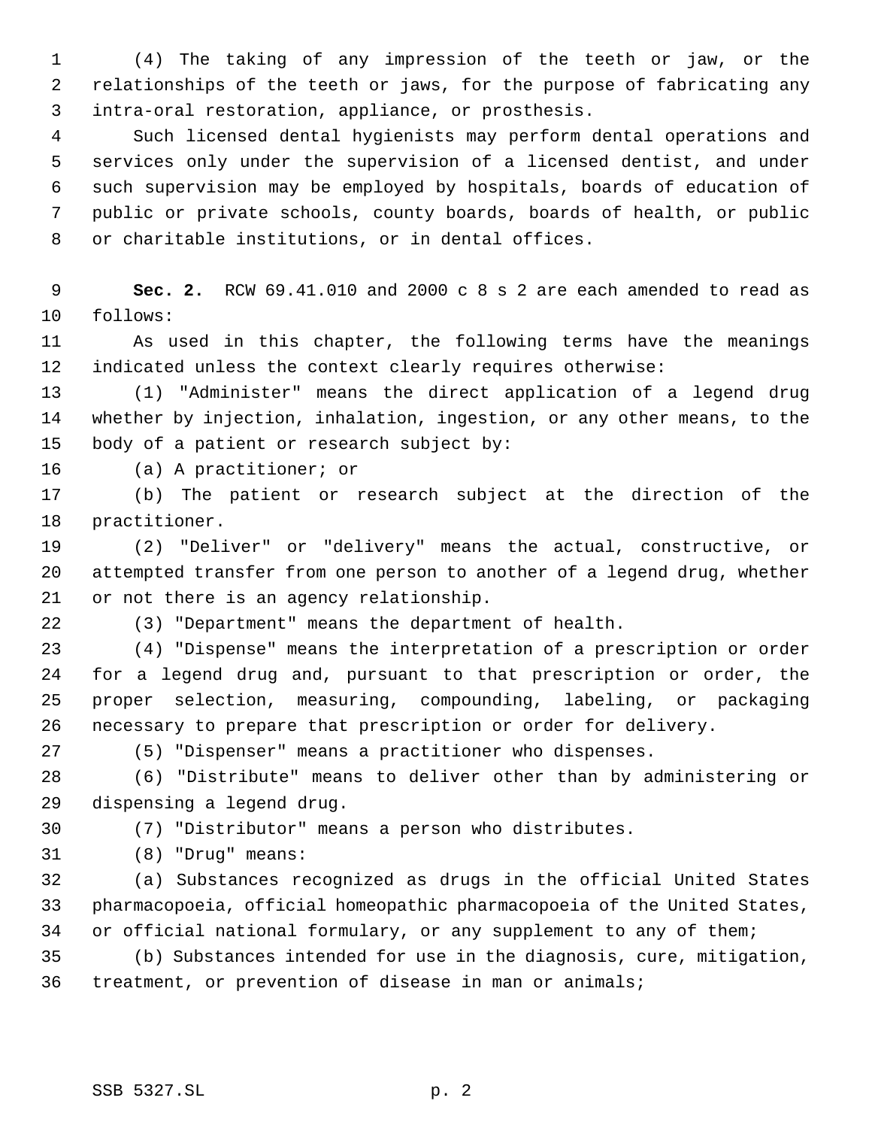(4) The taking of any impression of the teeth or jaw, or the relationships of the teeth or jaws, for the purpose of fabricating any intra-oral restoration, appliance, or prosthesis.

 Such licensed dental hygienists may perform dental operations and services only under the supervision of a licensed dentist, and under such supervision may be employed by hospitals, boards of education of public or private schools, county boards, boards of health, or public or charitable institutions, or in dental offices.

 **Sec. 2.** RCW 69.41.010 and 2000 c 8 s 2 are each amended to read as follows:

 As used in this chapter, the following terms have the meanings indicated unless the context clearly requires otherwise:

 (1) "Administer" means the direct application of a legend drug whether by injection, inhalation, ingestion, or any other means, to the body of a patient or research subject by:

(a) A practitioner; or

 (b) The patient or research subject at the direction of the practitioner.

 (2) "Deliver" or "delivery" means the actual, constructive, or attempted transfer from one person to another of a legend drug, whether or not there is an agency relationship.

(3) "Department" means the department of health.

 (4) "Dispense" means the interpretation of a prescription or order for a legend drug and, pursuant to that prescription or order, the proper selection, measuring, compounding, labeling, or packaging necessary to prepare that prescription or order for delivery.

(5) "Dispenser" means a practitioner who dispenses.

 (6) "Distribute" means to deliver other than by administering or dispensing a legend drug.

(7) "Distributor" means a person who distributes.

(8) "Drug" means:

 (a) Substances recognized as drugs in the official United States pharmacopoeia, official homeopathic pharmacopoeia of the United States, or official national formulary, or any supplement to any of them;

 (b) Substances intended for use in the diagnosis, cure, mitigation, treatment, or prevention of disease in man or animals;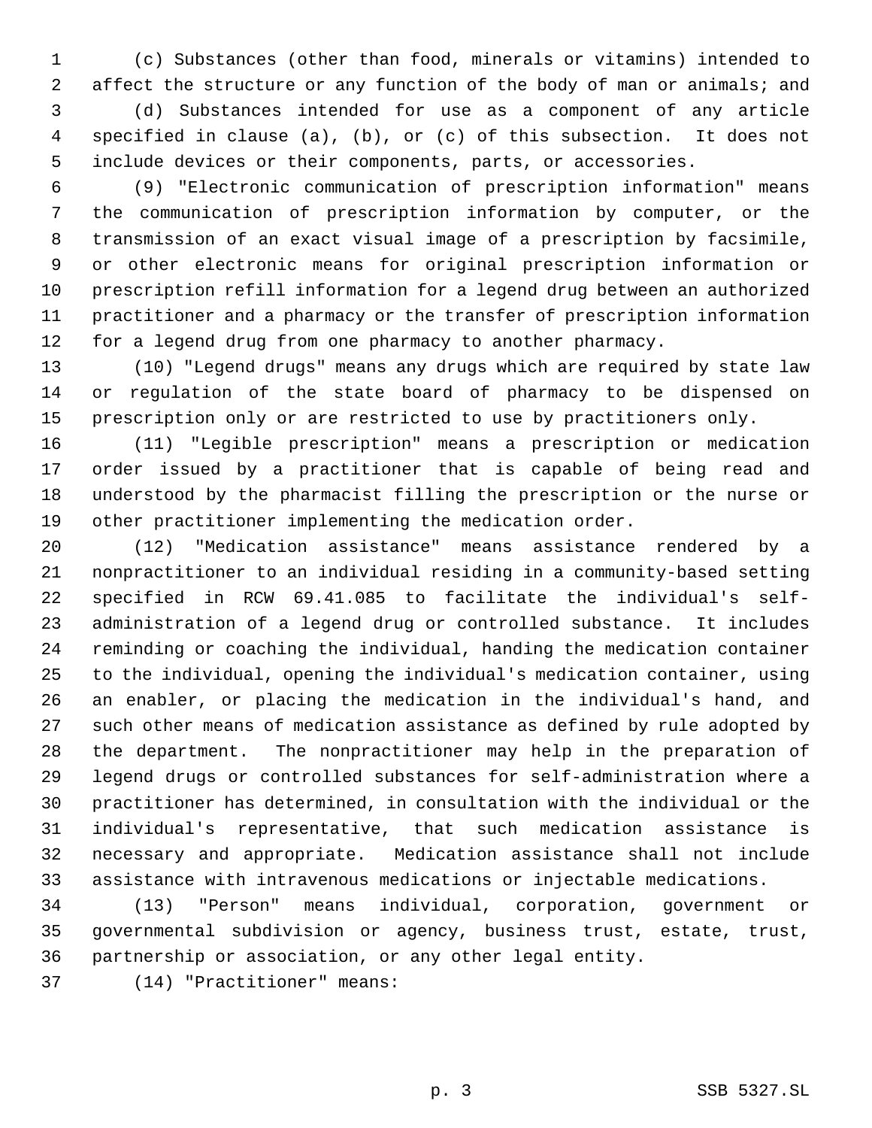(c) Substances (other than food, minerals or vitamins) intended to 2 affect the structure or any function of the body of man or animals; and (d) Substances intended for use as a component of any article specified in clause (a), (b), or (c) of this subsection. It does not include devices or their components, parts, or accessories.

 (9) "Electronic communication of prescription information" means the communication of prescription information by computer, or the transmission of an exact visual image of a prescription by facsimile, or other electronic means for original prescription information or prescription refill information for a legend drug between an authorized practitioner and a pharmacy or the transfer of prescription information for a legend drug from one pharmacy to another pharmacy.

 (10) "Legend drugs" means any drugs which are required by state law or regulation of the state board of pharmacy to be dispensed on prescription only or are restricted to use by practitioners only.

 (11) "Legible prescription" means a prescription or medication order issued by a practitioner that is capable of being read and understood by the pharmacist filling the prescription or the nurse or other practitioner implementing the medication order.

 (12) "Medication assistance" means assistance rendered by a nonpractitioner to an individual residing in a community-based setting specified in RCW 69.41.085 to facilitate the individual's self- administration of a legend drug or controlled substance. It includes reminding or coaching the individual, handing the medication container to the individual, opening the individual's medication container, using an enabler, or placing the medication in the individual's hand, and such other means of medication assistance as defined by rule adopted by the department. The nonpractitioner may help in the preparation of legend drugs or controlled substances for self-administration where a practitioner has determined, in consultation with the individual or the individual's representative, that such medication assistance is necessary and appropriate. Medication assistance shall not include assistance with intravenous medications or injectable medications.

 (13) "Person" means individual, corporation, government or governmental subdivision or agency, business trust, estate, trust, partnership or association, or any other legal entity.

(14) "Practitioner" means: